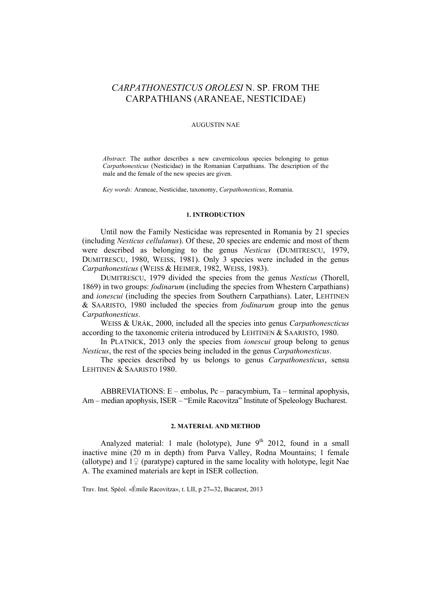# *CARPATHONESTICUS OROLESI* N. SP. FROM THE CARPATHIANS (ARANEAE, NESTICIDAE)

# AUGUSTIN NAE

*Abstract*: The author describes a new cavernicolous species belonging to genus *Carpathonesticus* (Nesticidae) in the Romanian Carpathians. The description of the male and the female of the new species are given.

*Key words:* Araneae, Nesticidae, taxonomy, *Carpathonesticus*, Romania.

#### **1. INTRODUCTION**

Until now the Family Nesticidae was represented in Romania by 21 species (including *Nesticus cellulanus*). Of these, 20 species are endemic and most of them were described as belonging to the genus *Nesticus* (DUMITRESCU, 1979, DUMITRESCU, 1980, WEISS, 1981). Only 3 species were included in the genus *Carpathonesticus* (WEISS & HEIMER, 1982, WEISS, 1983).

DUMITRESCU, 1979 divided the species from the genus *Nesticus* (Thorell, 1869) in two groups: *fodinarum* (including the species from Whestern Carpathians) and *ionescui* (including the species from Southern Carpathians). Later, LEHTINEN & SAARISTO, 1980 included the species from *fodinarum* group into the genus *Carpathonesticus*.

WEISS & URÁK, 2000, included all the species into genus *Carpathonescticus* according to the taxonomic criteria introduced by LEHTINEN & SAARISTO, 1980.

In PLATNICK, 2013 only the species from *ionescui* group belong to genus *Nesticus*, the rest of the species being included in the genus *Carpathonesticus*.

The species described by us belongs to genus *Carpathonesticus*, sensu LEHTINEN & SAARISTO 1980.

ABBREVIATIONS: E – embolus, Pc – paracymbium, Ta – terminal apophysis, Am – median apophysis, ISER – "Emile Racovitza" Institute of Speleology Bucharest.

#### **2. MATERIAL AND METHOD**

Analyzed material: 1 male (holotype), June  $9<sup>th</sup>$  2012, found in a small inactive mine (20 m in depth) from Parva Valley, Rodna Mountains; 1 female (allotype) and  $1\frac{1}{2}$  (paratype) captured in the same locality with holotype, legit Nae A. The examined materials are kept in ISER collection.

Trav. Inst. Spéol. «Émile Racovitza», t. LII, p 27–32, Bucarest, 2013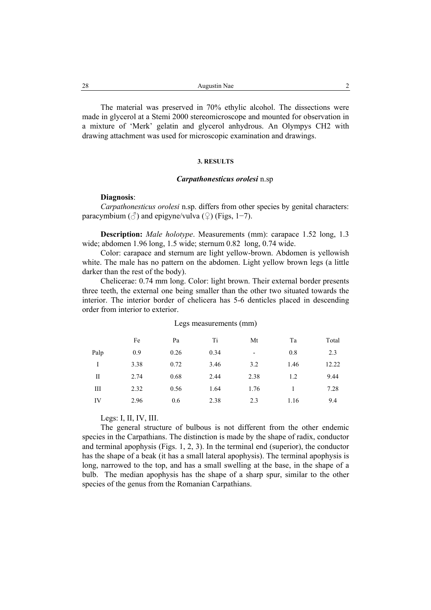The material was preserved in 70% ethylic alcohol. The dissections were made in glycerol at a Stemi 2000 stereomicroscope and mounted for observation in a mixture of 'Merk' gelatin and glycerol anhydrous. An Olympys CH2 with drawing attachment was used for microscopic examination and drawings.

# **3. RESULTS**

## *Carpathonesticus orolesi* n.sp

#### **Diagnosis**:

*Carpathonesticus orolesi* n.sp. differs from other species by genital characters: paracymbium ( $\Diamond$ ) and epigyne/vulva ( $\Diamond$ ) (Figs, 1–7).

**Description:** *Male holotype*. Measurements (mm): carapace 1.52 long, 1.3 wide; abdomen 1.96 long, 1.5 wide; sternum 0.82 long, 0.74 wide.

Color: carapace and sternum are light yellow-brown. Abdomen is yellowish white. The male has no pattern on the abdomen. Light yellow brown legs (a little darker than the rest of the body).

Chelicerae: 0.74 mm long. Color: light brown. Their external border presents three teeth, the external one being smaller than the other two situated towards the interior. The interior border of chelicera has 5-6 denticles placed in descending order from interior to exterior.

|      | Fe   | Pa   | Ti   | Mt                       | Ta   | Total |
|------|------|------|------|--------------------------|------|-------|
| Palp | 0.9  | 0.26 | 0.34 | $\overline{\phantom{a}}$ | 0.8  | 2.3   |
| I    | 3.38 | 0.72 | 3.46 | 3.2                      | 1.46 | 12.22 |
| П    | 2.74 | 0.68 | 2.44 | 2.38                     | 1.2  | 9.44  |
| Ш    | 2.32 | 0.56 | 1.64 | 1.76                     |      | 7.28  |
| IV   | 2.96 | 0.6  | 2.38 | 2.3                      | 1.16 | 9.4   |

#### Legs measurements (mm)

Legs: I, II, IV, III.

The general structure of bulbous is not different from the other endemic species in the Carpathians. The distinction is made by the shape of radix, conductor and terminal apophysis (Figs. 1, 2, 3). In the terminal end (superior), the conductor has the shape of a beak (it has a small lateral apophysis). The terminal apophysis is long, narrowed to the top, and has a small swelling at the base, in the shape of a bulb. The median apophysis has the shape of a sharp spur, similar to the other species of the genus from the Romanian Carpathians.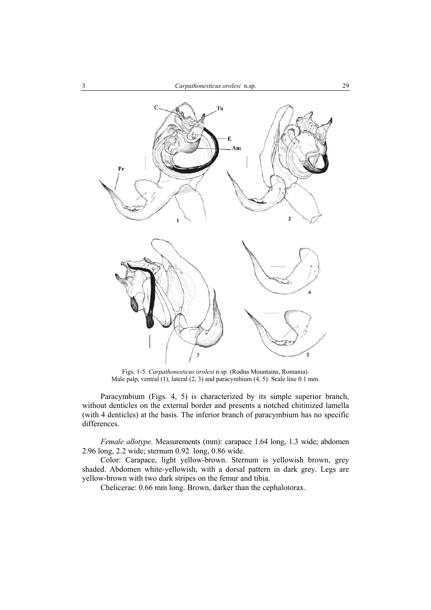

Figs. 1-5. *Carpathonesticus orolesi* n.sp. (Rodna Mountains, Romania). Male palp, ventral (1), lateral (2, 3) and paracymbium (4, 5). Scale line 0.1 mm.

Paracymbium (Figs. 4, 5) is characterized by its simple superior branch, without denticles on the external border and presents a notched chitinized lamella (with 4 denticles) at the basis. The inferior branch of paracymbium has no specific differences.

*Female allotype*. Measurements (mm): carapace 1.64 long, 1.3 wide; abdomen 2.96 long, 2.2 wide; sternum 0.92 long, 0.86 wide.

Color: Carapace, light yellow-brown. Sternum is yellowish brown, grey shaded. Abdomen white-yellowish, with a dorsal pattern in dark grey. Legs are yellow-brown with two dark stripes on the femur and tibia.

Chelicerae: 0.66 mm long. Brown, darker than the cephalotorax.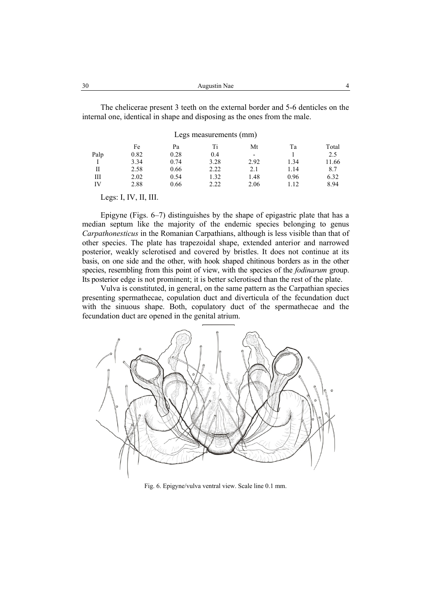| 30 | Augustin Nae |  |
|----|--------------|--|
|    |              |  |

The chelicerae present 3 teeth on the external border and 5-6 denticles on the internal one, identical in shape and disposing as the ones from the male.

#### Legs measurements (mm)

|      | Fe   | Pa   |      | Mt   | Тa   | Total |
|------|------|------|------|------|------|-------|
| Palp | 0.82 | 0.28 | 0.4  | -    |      | 2.5   |
|      | 3.34 | 0.74 | 3.28 | 2.92 | 1.34 | 11.66 |
| Н    | 2.58 | 0.66 | 2.22 | 2.1  | 1.14 | 8.7   |
| Ш    | 2.02 | 0.54 | 1.32 | 1.48 | 0.96 | 6.32  |
| IV   | 2.88 | 0.66 | 2.22 | 2.06 | 1.12 | 8.94  |

Legs: I, IV, II, III.

Epigyne (Figs. 6–7) distinguishes by the shape of epigastric plate that has a median septum like the majority of the endemic species belonging to genus *Carpathonesticus* in the Romanian Carpathians, although is less visible than that of other species. The plate has trapezoidal shape, extended anterior and narrowed posterior, weakly sclerotised and covered by bristles. It does not continue at its basis, on one side and the other, with hook shaped chitinous borders as in the other species, resembling from this point of view, with the species of the *fodinarum* group. Its posterior edge is not prominent; it is better sclerotised than the rest of the plate.

Vulva is constituted, in general, on the same pattern as the Carpathian species presenting spermathecae, copulation duct and diverticula of the fecundation duct with the sinuous shape. Both, copulatory duct of the spermathecae and the fecundation duct are opened in the genital atrium.



Fig. 6. Epigyne/vulva ventral view. Scale line 0.1 mm.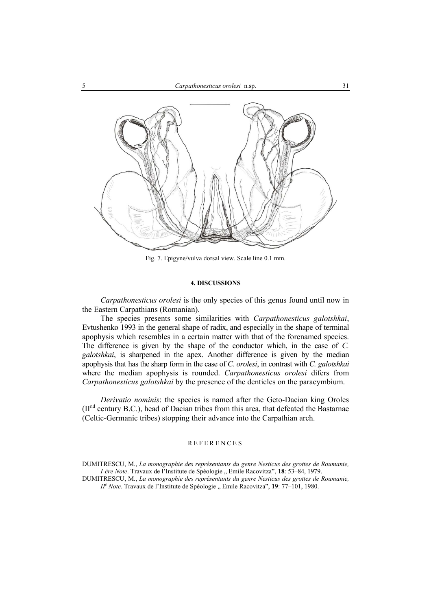

Fig. 7. Epigyne/vulva dorsal view. Scale line 0.1 mm.

## **4. DISCUSSIONS**

*Carpathonesticus orolesi* is the only species of this genus found until now in the Eastern Carpathians (Romanian).

The species presents some similarities with *Carpathonesticus galotshkai*, Evtushenko 1993 in the general shape of radix, and especially in the shape of terminal apophysis which resembles in a certain matter with that of the forenamed species. The difference is given by the shape of the conductor which, in the case of *C. galotshkai*, is sharpened in the apex. Another difference is given by the median apophysis that has the sharp form in the case of *C. orolesi*, in contrast with *C. galotshkai* where the median apophysis is rounded. *Carpathonesticus orolesi* difers from *Carpathonesticus galotshkai* by the presence of the denticles on the paracymbium.

*Derivatio nominis*: the species is named after the Geto-Dacian king Oroles (IInd century B.C.), head of Dacian tribes from this area, that defeated the Bastarnae (Celtic-Germanic tribes) stopping their advance into the Carpathian arch.

#### REFERENCES

DUMITRESCU, M., *La monographie des représentants du genre Nesticus des grottes de Roumanie, I-ère Note*. Travaux de l'Institute de Spéologie " Emile Racovitza", 18: 53–84, 1979.

DUMITRESCU, M., *La monographie des représentants du genre Nesticus des grottes de Roumanie, II<sup>e</sup>* Note. Travaux de l'Institute de Spéologie " Emile Racovitza", **19**: 77–101, 1980.